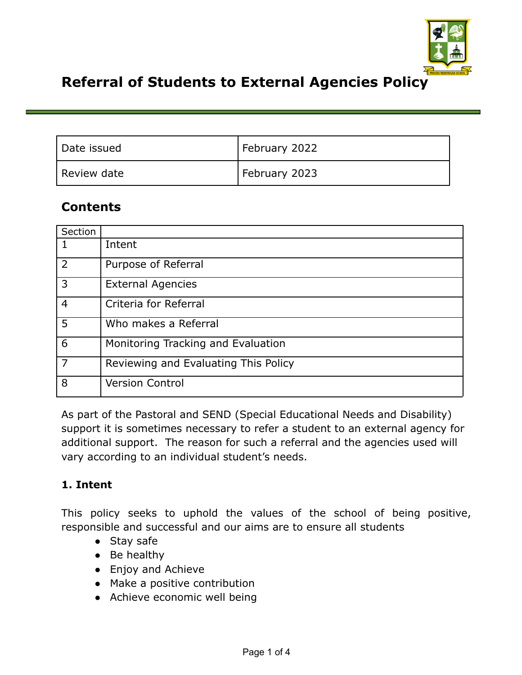

# **Referral of Students to External Agencies Policy**

| Date issued | February 2022 |
|-------------|---------------|
| Review date | February 2023 |

## **Contents**

| Section        |                                      |
|----------------|--------------------------------------|
| 1              | Intent                               |
| $\overline{2}$ | Purpose of Referral                  |
| 3              | <b>External Agencies</b>             |
| $\overline{4}$ | Criteria for Referral                |
| 5              | Who makes a Referral                 |
| 6              | Monitoring Tracking and Evaluation   |
| 7              | Reviewing and Evaluating This Policy |
| 8              | <b>Version Control</b>               |

As part of the Pastoral and SEND (Special Educational Needs and Disability) support it is sometimes necessary to refer a student to an external agency for additional support. The reason for such a referral and the agencies used will vary according to an individual student's needs.

#### **1. Intent**

This policy seeks to uphold the values of the school of being positive, responsible and successful and our aims are to ensure all students

- Stay safe
- $\bullet$  Be healthy
- Enjoy and Achieve
- Make a positive contribution
- Achieve economic well being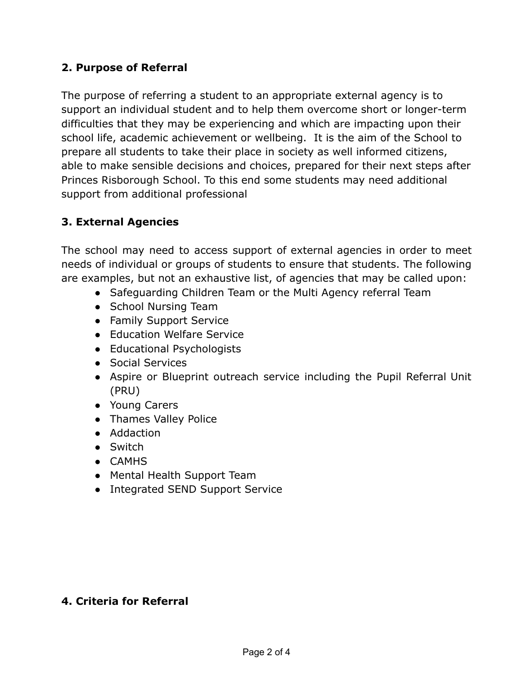### **2. Purpose of Referral**

The purpose of referring a student to an appropriate external agency is to support an individual student and to help them overcome short or longer-term difficulties that they may be experiencing and which are impacting upon their school life, academic achievement or wellbeing. It is the aim of the School to prepare all students to take their place in society as well informed citizens, able to make sensible decisions and choices, prepared for their next steps after Princes Risborough School. To this end some students may need additional support from additional professional

### **3. External Agencies**

The school may need to access support of external agencies in order to meet needs of individual or groups of students to ensure that students. The following are examples, but not an exhaustive list, of agencies that may be called upon:

- Safeguarding Children Team or the Multi Agency referral Team
- School Nursing Team
- Family Support Service
- Education Welfare Service
- Educational Psychologists
- Social Services
- Aspire or Blueprint outreach service including the Pupil Referral Unit (PRU)
- Young Carers
- Thames Valley Police
- Addaction
- Switch
- CAMHS
- Mental Health Support Team
- Integrated SEND Support Service

## **4. Criteria for Referral**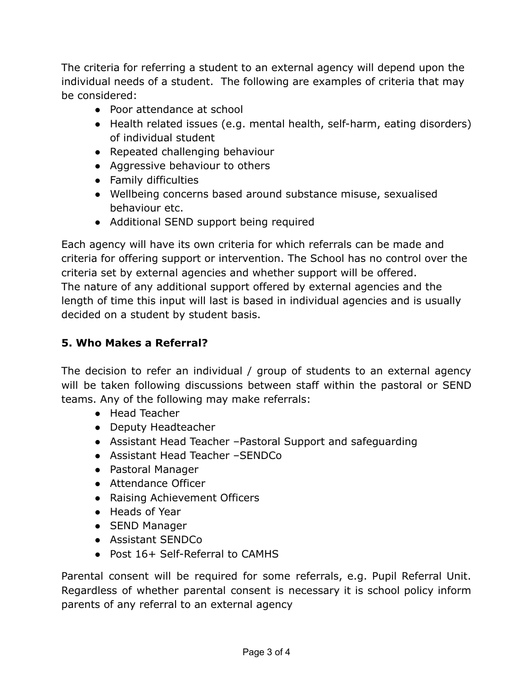The criteria for referring a student to an external agency will depend upon the individual needs of a student. The following are examples of criteria that may be considered:

- Poor attendance at school
- Health related issues (e.g. mental health, self-harm, eating disorders) of individual student
- Repeated challenging behaviour
- Aggressive behaviour to others
- Family difficulties
- Wellbeing concerns based around substance misuse, sexualised behaviour etc.
- Additional SEND support being required

Each agency will have its own criteria for which referrals can be made and criteria for offering support or intervention. The School has no control over the criteria set by external agencies and whether support will be offered. The nature of any additional support offered by external agencies and the length of time this input will last is based in individual agencies and is usually decided on a student by student basis.

#### **5. Who Makes a Referral?**

The decision to refer an individual / group of students to an external agency will be taken following discussions between staff within the pastoral or SEND teams. Any of the following may make referrals:

- Head Teacher
- Deputy Headteacher
- Assistant Head Teacher –Pastoral Support and safeguarding
- Assistant Head Teacher –SENDCo
- Pastoral Manager
- Attendance Officer
- Raising Achievement Officers
- Heads of Year
- SEND Manager
- Assistant SENDCo
- Post 16+ Self-Referral to CAMHS

Parental consent will be required for some referrals, e.g. Pupil Referral Unit. Regardless of whether parental consent is necessary it is school policy inform parents of any referral to an external agency